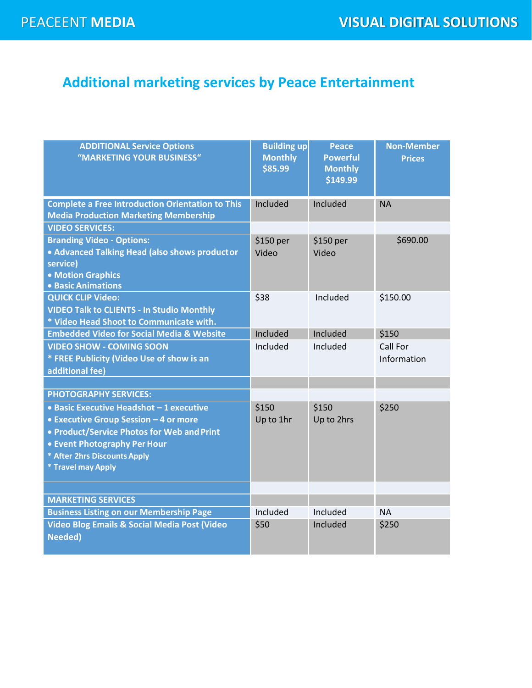## **Additional marketing services by Peace Entertainment**

| <b>ADDITIONAL Service Options</b><br>"MARKETING YOUR BUSINESS"                                                                                                                                                               | <b>Building up</b><br><b>Monthly</b><br>\$85.99 | <b>Peace</b><br><b>Powerful</b><br><b>Monthly</b><br>\$149.99 | <b>Non-Member</b><br><b>Prices</b> |
|------------------------------------------------------------------------------------------------------------------------------------------------------------------------------------------------------------------------------|-------------------------------------------------|---------------------------------------------------------------|------------------------------------|
| <b>Complete a Free Introduction Orientation to This</b><br><b>Media Production Marketing Membership</b>                                                                                                                      | Included                                        | Included                                                      | <b>NA</b>                          |
| <b>VIDEO SERVICES:</b>                                                                                                                                                                                                       |                                                 |                                                               |                                    |
| <b>Branding Video - Options:</b><br>• Advanced Talking Head (also shows productor<br>service)<br>• Motion Graphics<br><b>• Basic Animations</b>                                                                              | \$150 per<br>Video                              | \$150 per<br>Video                                            | \$690.00                           |
| <b>QUICK CLIP Video:</b><br><b>VIDEO Talk to CLIENTS - In Studio Monthly</b><br>* Video Head Shoot to Communicate with.                                                                                                      | \$38                                            | Included                                                      | \$150.00                           |
| <b>Embedded Video for Social Media &amp; Website</b>                                                                                                                                                                         | Included                                        | Included                                                      | \$150                              |
| <b>VIDEO SHOW - COMING SOON</b><br>* FREE Publicity (Video Use of show is an<br>additional fee)                                                                                                                              | Included                                        | Included                                                      | Call For<br>Information            |
|                                                                                                                                                                                                                              |                                                 |                                                               |                                    |
| <b>PHOTOGRAPHY SERVICES:</b>                                                                                                                                                                                                 |                                                 |                                                               |                                    |
| • Basic Executive Headshot - 1 executive<br>• Executive Group Session - 4 or more<br>• Product/Service Photos for Web and Print<br><b>• Event Photography Per Hour</b><br>* After 2hrs Discounts Apply<br>* Travel may Apply | \$150<br>Up to 1hr                              | \$150<br>Up to 2hrs                                           | \$250                              |
|                                                                                                                                                                                                                              |                                                 |                                                               |                                    |
| <b>MARKETING SERVICES</b>                                                                                                                                                                                                    |                                                 |                                                               |                                    |
| <b>Business Listing on our Membership Page</b>                                                                                                                                                                               | Included                                        | Included                                                      | NA.                                |
| <b>Video Blog Emails &amp; Social Media Post (Video</b><br><b>Needed</b> )                                                                                                                                                   | \$50                                            | Included                                                      | \$250                              |